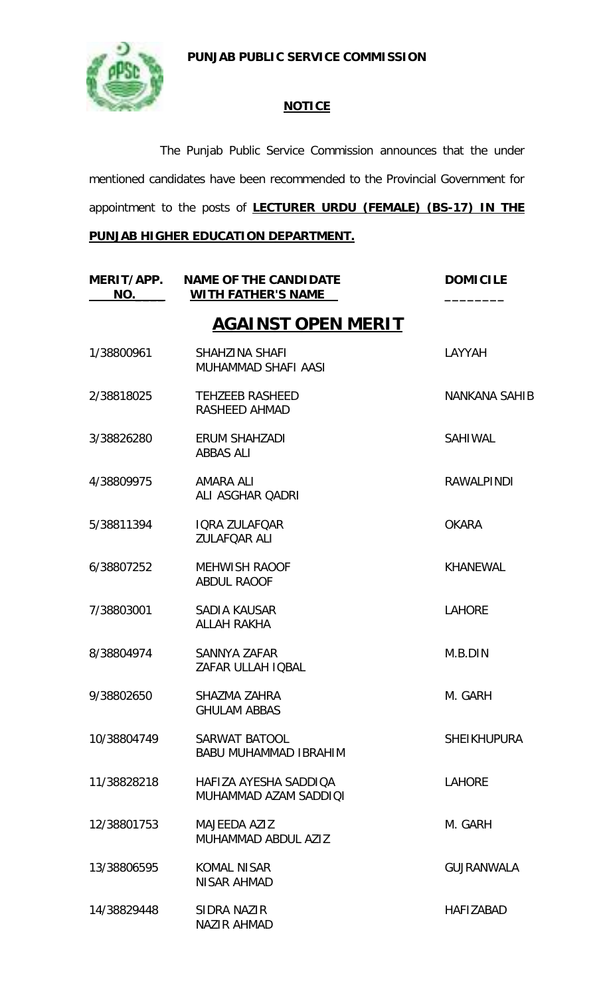**PUNJAB PUBLIC SERVICE COMMISSION**



### **NOTICE**

The Punjab Public Service Commission announces that the under mentioned candidates have been recommended to the Provincial Government for appointment to the posts of **LECTURER URDU (FEMALE) (BS-17) IN THE** 

## **PUNJAB HIGHER EDUCATION DEPARTMENT.**

| MERIT/APP.<br>NO. | <b>NAME OF THE CANDIDATE</b><br><b>WITH FATHER'S NAME</b> | <b>DOMICILE</b>      |
|-------------------|-----------------------------------------------------------|----------------------|
|                   | <b>AGAINST OPEN MERIT</b>                                 |                      |
| 1/38800961        | SHAHZINA SHAFI<br><b>MUHAMMAD SHAFI AASI</b>              | LAYYAH               |
| 2/38818025        | <b>TEHZEEB RASHEED</b><br>RASHEED AHMAD                   | <b>NANKANA SAHIB</b> |
| 3/38826280        | ERUM SHAHZADI<br><b>ABBAS ALI</b>                         | <b>SAHIWAL</b>       |
| 4/38809975        | AMARA ALI<br>ALI ASGHAR QADRI                             | <b>RAWALPINDI</b>    |
| 5/38811394        | <b>IQRA ZULAFOAR</b><br><b>ZULAFQAR ALI</b>               | <b>OKARA</b>         |
| 6/38807252        | <b>MEHWISH RAOOF</b><br><b>ABDUL RAOOF</b>                | <b>KHANEWAL</b>      |
| 7/38803001        | <b>SADIA KAUSAR</b><br><b>ALLAH RAKHA</b>                 | <b>LAHORE</b>        |
| 8/38804974        | SANNYA ZAFAR<br>ZAFAR ULLAH IQBAL                         | M.B.DIN              |
| 9/38802650        | SHAZMA ZAHRA<br><b>GHULAM ABBAS</b>                       | M. GARH              |
| 10/38804749       | SARWAT BATOOL<br><b>BABU MUHAMMAD IBRAHIM</b>             | <b>SHEIKHUPURA</b>   |
| 11/38828218       | HAFIZA AYESHA SADDIQA<br>MUHAMMAD AZAM SADDIOI            | <b>LAHORE</b>        |
| 12/38801753       | <b>MAJEEDA AZIZ</b><br>MUHAMMAD ABDUL A717                | M. GARH              |
| 13/38806595       | <b>KOMAL NISAR</b><br>NISAR AHMAD                         | <b>GUJRANWALA</b>    |
| 14/38829448       | SIDRA NAZIR<br><b>NAZIR AHMAD</b>                         | <b>HAFIZABAD</b>     |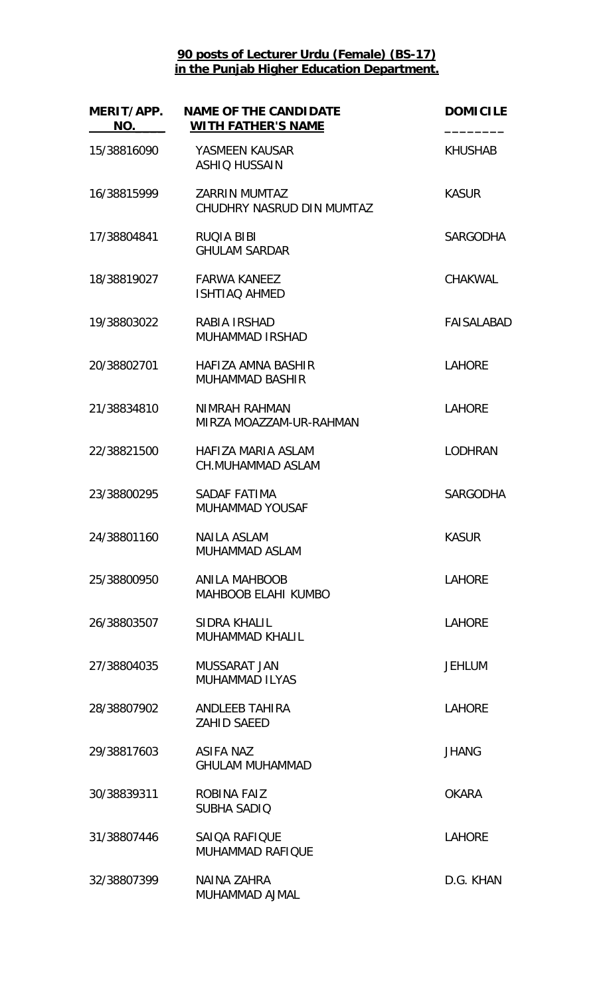| MERIT/APP.<br>NO. | <b>NAME OF THE CANDIDATE</b><br><b>WITH FATHER'S NAME</b> | <b>DOMICILE</b> |
|-------------------|-----------------------------------------------------------|-----------------|
| 15/38816090       | YASMEEN KAUSAR<br><b>ASHIQ HUSSAIN</b>                    | <b>KHUSHAB</b>  |
| 16/38815999       | <b>ZARRIN MUMTAZ</b><br>CHUDHRY NASRUD DIN MUMTAZ         | <b>KASUR</b>    |
| 17/38804841       | <b>RUQIA BIBI</b><br><b>GHULAM SARDAR</b>                 | <b>SARGODHA</b> |
| 18/38819027       | <b>FARWA KANEEZ</b><br><b>ISHTIAQ AHMED</b>               | <b>CHAKWAL</b>  |
| 19/38803022       | RABIA IRSHAD<br><b>MUHAMMAD IRSHAD</b>                    | FAISALABAD      |
| 20/38802701       | HAFIZA AMNA BASHIR<br><b>MUHAMMAD BASHIR</b>              | <b>LAHORE</b>   |
| 21/38834810       | NIMRAH RAHMAN<br>MIRZA MOAZZAM-UR-RAHMAN                  | <b>LAHORE</b>   |
| 22/38821500       | HAFIZA MARIA ASLAM<br><b>CH.MUHAMMAD ASLAM</b>            | <b>LODHRAN</b>  |
| 23/38800295       | SADAF FATIMA<br><b>MUHAMMAD YOUSAF</b>                    | <b>SARGODHA</b> |
| 24/38801160       | <b>NAILA ASLAM</b><br>MUHAMMAD ASLAM                      | <b>KASUR</b>    |
| 25/38800950       | <b>ANILA MAHBOOB</b><br><b>MAHBOOB ELAHI KUMBO</b>        | <b>LAHORE</b>   |
| 26/38803507       | SIDRA KHALIL<br><b>MUHAMMAD KHALIL</b>                    | <b>LAHORE</b>   |
| 27/38804035       | MUSSARAT JAN<br><b>MUHAMMAD ILYAS</b>                     | <b>JEHLUM</b>   |
| 28/38807902       | ANDLEEB TAHIRA<br><b>ZAHID SAEED</b>                      | <b>LAHORE</b>   |
| 29/38817603       | <b>ASIFA NAZ</b><br><b>GHULAM MUHAMMAD</b>                | <b>JHANG</b>    |
| 30/38839311       | ROBINA FAIZ<br><b>SUBHA SADIO</b>                         | <b>OKARA</b>    |
| 31/38807446       | SAIQA RAFIQUE<br><b>MUHAMMAD RAFIQUE</b>                  | <b>LAHORE</b>   |
| 32/38807399       | <b>NAINA ZAHRA</b><br>MUHAMMAD AJMAL                      | D.G. KHAN       |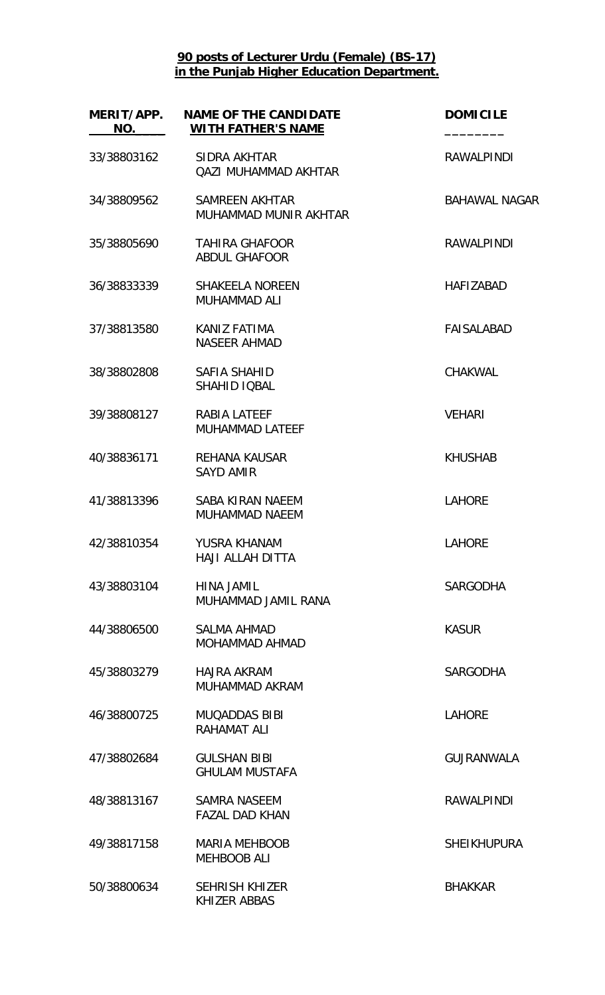| MERIT/APP.<br>NO. | <b>NAME OF THE CANDIDATE</b><br><b>WITH FATHER'S NAME</b> | <b>DOMICILE</b>      |
|-------------------|-----------------------------------------------------------|----------------------|
| 33/38803162       | SIDRA AKHTAR<br><b>QAZI MUHAMMAD AKHTAR</b>               | <b>RAWALPINDI</b>    |
| 34/38809562       | <b>SAMREEN AKHTAR</b><br>MUHAMMAD MUNIR AKHTAR            | <b>BAHAWAL NAGAR</b> |
| 35/38805690       | <b>TAHIRA GHAFOOR</b><br><b>ABDUL GHAFOOR</b>             | <b>RAWALPINDI</b>    |
| 36/38833339       | <b>SHAKEELA NOREEN</b><br><b>MUHAMMAD ALI</b>             | <b>HAFIZABAD</b>     |
| 37/38813580       | KANIZ FATIMA<br><b>NASEER AHMAD</b>                       | <b>FAISALABAD</b>    |
| 38/38802808       | SAFIA SHAHID<br>SHAHID IQBAL                              | CHAKWAL              |
| 39/38808127       | RABIA LATEEF<br><b>MUHAMMAD LATEEF</b>                    | <b>VEHARI</b>        |
| 40/38836171       | <b>REHANA KAUSAR</b><br><b>SAYD AMIR</b>                  | <b>KHUSHAB</b>       |
| 41/38813396       | <b>SABA KIRAN NAEEM</b><br><b>MUHAMMAD NAEEM</b>          | <b>LAHORE</b>        |
| 42/38810354       | YUSRA KHANAM<br><b>HAJI ALLAH DITTA</b>                   | <b>LAHORE</b>        |
| 43/38803104       | <b>HINA JAMIL</b><br>MUHAMMAD JAMIL RANA                  | <b>SARGODHA</b>      |
| 44/38806500       | <b>SALMA AHMAD</b><br>MOHAMMAD AHMAD                      | <b>KASUR</b>         |
| 45/38803279       | <b>HAJRA AKRAM</b><br>MUHAMMAD AKRAM                      | <b>SARGODHA</b>      |
| 46/38800725       | <b>MUQADDAS BIBI</b><br>RAHAMAT ALI                       | <b>LAHORE</b>        |
| 47/38802684       | <b>GULSHAN BIBI</b><br><b>GHULAM MUSTAFA</b>              | <b>GUJRANWALA</b>    |
| 48/38813167       | <b>SAMRA NASEEM</b><br><b>FAZAL DAD KHAN</b>              | <b>RAWALPINDI</b>    |
| 49/38817158       | <b>MARIA MEHBOOB</b><br><b>MEHBOOB ALI</b>                | <b>SHEIKHUPURA</b>   |
| 50/38800634       | <b>SEHRISH KHIZER</b><br><b>KHIZER ABBAS</b>              | <b>BHAKKAR</b>       |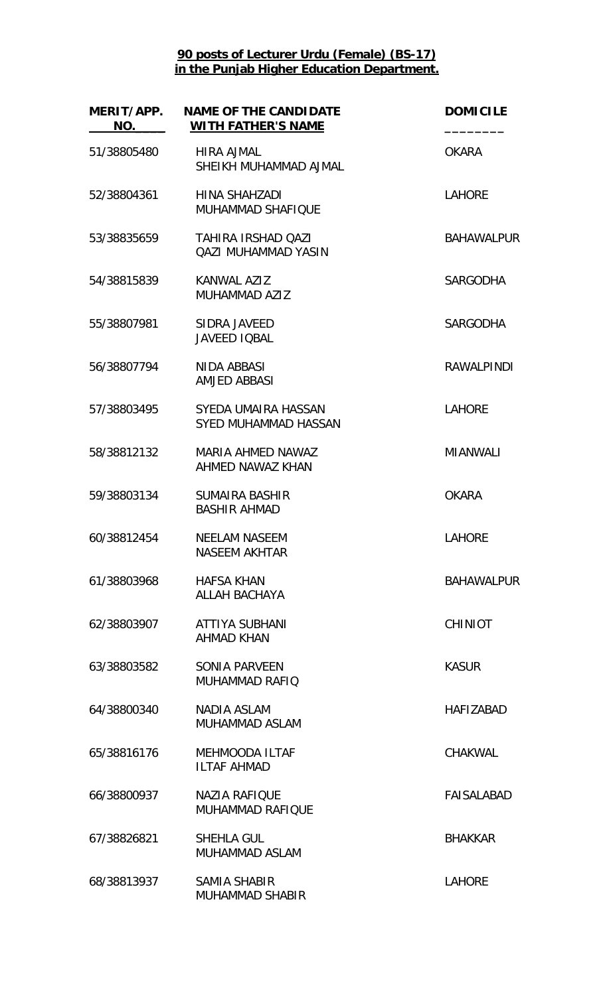| MERIT/APP.<br>NO. | <b>NAME OF THE CANDIDATE</b><br><b>WITH FATHER'S NAME</b> | <b>DOMICILE</b>   |
|-------------------|-----------------------------------------------------------|-------------------|
| 51/38805480       | <b>HIRA AJMAL</b><br>SHEIKH MUHAMMAD AJMAL                | <b>OKARA</b>      |
| 52/38804361       | HINA SHAHZADI<br><b>MUHAMMAD SHAFIQUE</b>                 | <b>LAHORE</b>     |
| 53/38835659       | <b>TAHIRA IRSHAD OAZI</b><br><b>QAZI MUHAMMAD YASIN</b>   | <b>BAHAWALPUR</b> |
| 54/38815839       | KANWAL AZIZ<br><b>MUHAMMAD AZIZ</b>                       | <b>SARGODHA</b>   |
| 55/38807981       | SIDRA JAVEED<br><b>JAVEED IQBAL</b>                       | <b>SARGODHA</b>   |
| 56/38807794       | NIDA ABBASI<br><b>AMJED ABBASI</b>                        | <b>RAWALPINDI</b> |
| 57/38803495       | SYEDA UMAIRA HASSAN<br><b>SYED MUHAMMAD HASSAN</b>        | <b>LAHORE</b>     |
| 58/38812132       | MARIA AHMED NAWAZ<br>AHMED NAWAZ KHAN                     | <b>MIANWALI</b>   |
| 59/38803134       | <b>SUMAIRA BASHIR</b><br><b>BASHIR AHMAD</b>              | <b>OKARA</b>      |
| 60/38812454       | <b>NEELAM NASEEM</b><br><b>NASEEM AKHTAR</b>              | <b>LAHORE</b>     |
| 61/38803968       | <b>HAFSA KHAN</b><br><b>ALLAH BACHAYA</b>                 | <b>BAHAWALPUR</b> |
| 62/38803907       | <b>ATTIYA SUBHANI</b><br><b>AHMAD KHAN</b>                | <b>CHINIOT</b>    |
| 63/38803582       | <b>SONIA PARVEEN</b><br>MUHAMMAD RAFIQ                    | <b>KASUR</b>      |
| 64/38800340       | NADIA ASLAM<br><b>MUHAMMAD ASLAM</b>                      | <b>HAFIZABAD</b>  |
| 65/38816176       | <b>MEHMOODA ILTAF</b><br><b>ILTAF AHMAD</b>               | <b>CHAKWAL</b>    |
| 66/38800937       | <b>NAZIA RAFIQUE</b><br><b>MUHAMMAD RAFIQUE</b>           | <b>FAISALABAD</b> |
| 67/38826821       | <b>SHEHLA GUL</b><br>MUHAMMAD ASLAM                       | <b>BHAKKAR</b>    |
| 68/38813937       | <b>SAMIA SHABIR</b><br><b>MUHAMMAD SHABIR</b>             | <b>LAHORE</b>     |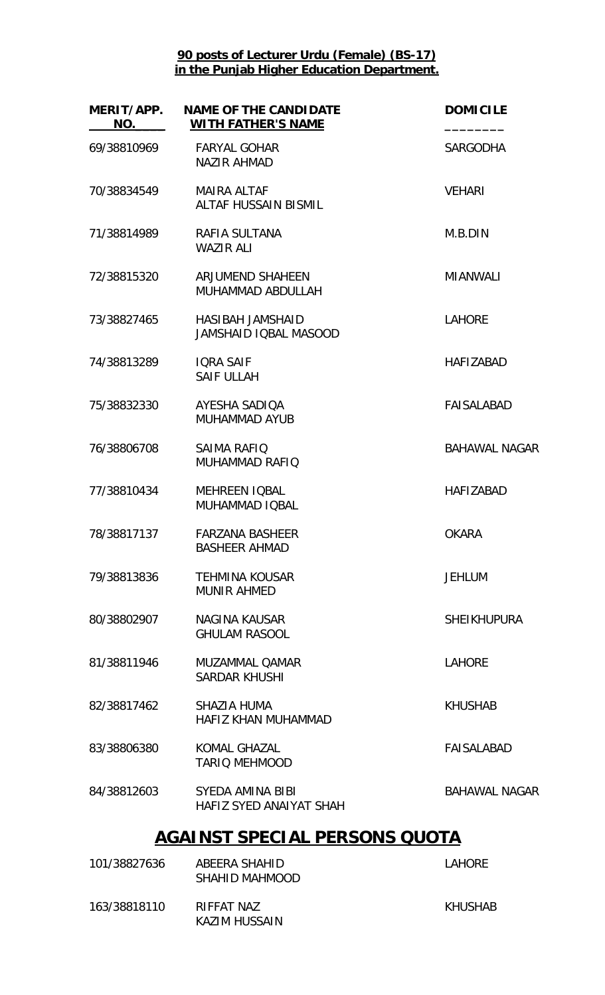| MERIT/APP.<br><b>NAME OF THE CANDIDATE</b><br><b>WITH FATHER'S NAME</b> | <b>DOMICILE</b>      |
|-------------------------------------------------------------------------|----------------------|
| <b>FARYAL GOHAR</b><br><b>NAZIR AHMAD</b>                               | <b>SARGODHA</b>      |
| <b>MAIRA ALTAF</b><br><b>ALTAF HUSSAIN BISMIL</b>                       | <b>VEHARI</b>        |
| RAFIA SULTANA<br><b>WAZIR ALI</b>                                       | M.B.DIN              |
| ARJUMEND SHAHEEN<br>MUHAMMAD ABDULLAH                                   | <b>MIANWALI</b>      |
| HASIBAH JAMSHAID<br>JAMSHAID IQBAL MASOOD                               | <b>LAHORE</b>        |
| <b>IQRA SAIF</b><br><b>SAIF ULLAH</b>                                   | <b>HAFIZABAD</b>     |
| AYESHA SADIQA<br><b>MUHAMMAD AYUB</b>                                   | FAISALABAD           |
| <b>SAIMA RAFIQ</b><br><b>MUHAMMAD RAFIQ</b>                             | <b>BAHAWAL NAGAR</b> |
| <b>MEHREEN IQBAL</b><br>MUHAMMAD IQBAL                                  | <b>HAFIZABAD</b>     |
| <b>FARZANA BASHEER</b><br>BASHEER AHMAD                                 | <b>OKARA</b>         |
| <b>TEHMINA KOUSAR</b><br><b>MUNIR AHMED</b>                             | <b>JEHLUM</b>        |
| NAGINA KAUSAR<br><b>GHULAM RASOOL</b>                                   | <b>SHEIKHUPURA</b>   |
| MUZAMMAL OAMAR<br><b>SARDAR KHUSHI</b>                                  | <b>LAHORE</b>        |
| <b>SHAZIA HUMA</b><br><b>HAFIZ KHAN MUHAMMAD</b>                        | <b>KHUSHAB</b>       |
| <b>KOMAL GHAZAL</b><br><b>TARIO MEHMOOD</b>                             | <b>FAISALABAD</b>    |
| SYEDA AMINA BIBI<br>HAFIZ SYED ANAIYAT SHAH                             | <b>BAHAWAL NAGAR</b> |
| <b>AGAINST SPECIAL PERSONS QUOTA</b>                                    |                      |
|                                                                         |                      |

| 101/38827636 | ABEERA SHAHID<br>SHAHID MAHMOOD | LAHORE  |
|--------------|---------------------------------|---------|
| 163/38818110 | RIFFAT NAZ<br>KAZIM HUSSAIN     | KHUSHAB |